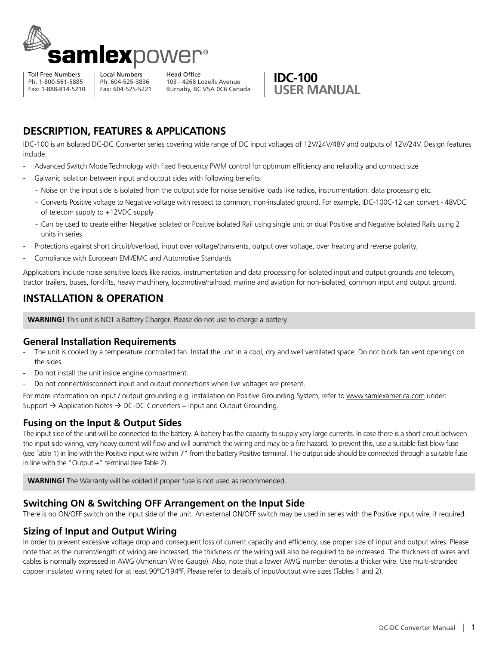

Toll Free Numbers Ph: 1-800-561-5885 Fax: 1-888-814-5210

Local Numbers Ph: 604-525-3836 Fax: 604-525-5221

Head Office 103 - 4268 Lozells Avenue Burnaby, BC V5A 0C6 Canada



# **Description, features & applications**

IDC-100 is an Isolated DC-DC Converter series covering wide range of DC input voltages of 12V/24V/48V and outputs of 12V/24V. Design features include:

- Advanced Switch Mode Technology with fixed frequency PWM control for optimum efficiency and reliability and compact size
- Galvanic isolation between input and output sides with following benefits:
	- Noise on the input side is isolated from the output side for noise sensitive loads like radios, instrumentation, data processing etc.
	- Converts Positive voltage to Negative voltage with respect to common, non-insulated ground. For example, IDC-100C-12 can convert 48VDC of telecom supply to +12VDC supply
	- Can be used to create either Negative isolated or Positive isolated Rail using single unit or dual Positive and Negative isolated Rails using 2 units in series.
- Protections against short circuit/overload, input over voltage/transients, output over voltage, over heating and reverse polarity;
- Compliance with European EMI/EMC and Automotive Standards

Applications include noise sensitive loads like radios, instrumentation and data processing for isolated input and output grounds and telecom, tractor trailers, buses, forklifts, heavy machinery, locomotive/railroad, marine and aviation for non-isolated, common input and output ground.

# **INSTALLATION & OPERATION**

**WARNING!** This unit is NOT a Battery Charger. Please do not use to charge a battery.

### **General Installation Requirements**

- The unit is cooled by a temperature controlled fan. Install the unit in a cool, dry and well ventilated space. Do not block fan vent openings on the sides.
- Do not install the unit inside engine compartment.
- Do not connect/disconnect input and output connections when live voltages are present.

For more information on input / output grounding e.g. installation on Positive Grounding System, refer to www.samlexamerica.com under: Support  $\rightarrow$  Application Notes  $\rightarrow$  DC-DC Converters – Input and Output Grounding.

## **Fusing on the Input & Output Sides**

The input side of the unit will be connected to the battery. A battery has the capacity to supply very large currents. In case there is a short circuit between the input side wiring, very heavy current will flow and will burn/melt the wiring and may be a fire hazard. To prevent this, use a suitable fast blow fuse (see Table 1) in line with the Positive input wire within 7" from the battery Positive terminal. The output side should be connected through a suitable fuse in line with the "Output  $+$ " terminal (see Table 2).

**WARNING!** The Warranty will be voided if proper fuse is not used as recommended.

### **Switching On & Switching Off Arrangement on the Input Side**

There is no ON/OFF switch on the input side of the unit. An external ON/OFF switch may be used in series with the Positive input wire, if required.

## **Sizing of Input and Output Wiring**

In order to prevent excessive voltage drop and consequent loss of current capacity and efficiency, use proper size of input and output wires. Please note that as the current/length of wiring are increased, the thickness of the wiring will also be required to be increased. The thickness of wires and cables is normally expressed in AWG (American Wire Gauge). Also, note that a lower AWG number denotes a thicker wire. Use multi-stranded copper insulated wiring rated for at least  $90^{\circ}C/194^{\circ}F$ . Please refer to details of input/output wire sizes (Tables 1 and 2).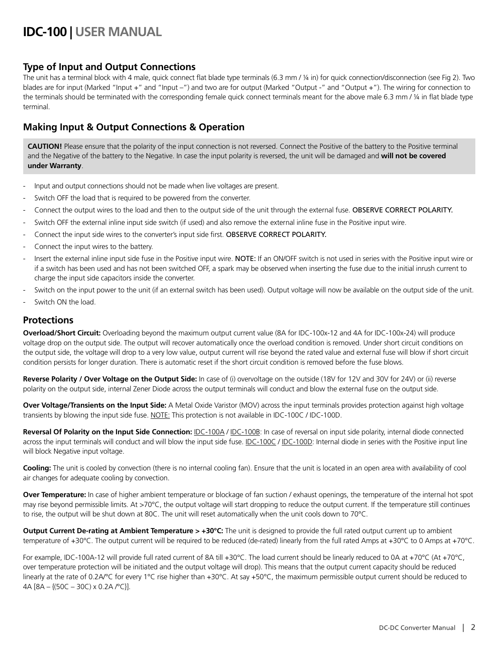# **IDC-100 | USER Manual**

## **Type of Input and Output Connections**

The unit has a terminal block with 4 male, quick connect flat blade type terminals (6.3 mm / ¼ in) for quick connection/disconnection (see Fig 2). Two blades are for input (Marked "Input +" and "Input -") and two are for output (Marked "Output -" and "Output +"). The wiring for connection to the terminals should be terminated with the corresponding female quick connect terminals meant for the above male 6.3 mm / 1/4 in flat blade type terminal.

# **Making Input & Output Connections & Operation**

CAUTION! Please ensure that the polarity of the input connection is not reversed. Connect the Positive of the battery to the Positive terminal and the Negative of the battery to the Negative. In case the input polarity is reversed, the unit will be damaged and **will not be covered under Warranty**.

- Input and output connections should not be made when live voltages are present.
- Switch OFF the load that is required to be powered from the converter.
- Connect the output wires to the load and then to the output side of the unit through the external fuse. OBSERVE CORRECT POLARITY.
- Switch OFF the external inline input side switch (if used) and also remove the external inline fuse in the Positive input wire.
- Connect the input side wires to the converter's input side first. OBSERVE CORRECT POLARITY.
- Connect the input wires to the battery.
- Insert the external inline input side fuse in the Positive input wire. NOTE: If an ON/OFF switch is not used in series with the Positive input wire or if a switch has been used and has not been switched off, a spark may be observed when inserting the fuse due to the initial inrush current to charge the input side capacitors inside the converter.
- Switch on the input power to the unit (if an external switch has been used). Output voltage will now be available on the output side of the unit.
- Switch ON the load.

### **Protections**

**Overload/Short Circuit:** Overloading beyond the maximum output current value (8A for IDC-100x-12 and 4A for IDC-100x-24) will produce voltage drop on the output side. The output will recover automatically once the overload condition is removed. Under short circuit conditions on the output side, the voltage will drop to a very low value, output current will rise beyond the rated value and external fuse will blow if short circuit condition persists for longer duration. There is automatic reset if the short circuit condition is removed before the fuse blows.

**Reverse Polarity / Over Voltage on the Output Side:** In case of (i) overvoltage on the outside (18V for 12V and 30V for 24V) or (ii) reverse polarity on the output side, internal Zener Diode across the output terminals will conduct and blow the external fuse on the output side.

**Over Voltage/Transients on the Input Side:** A Metal Oxide Varistor (MOV) across the input terminals provides protection against high voltage transients by blowing the input side fuse. NOTE: This protection is not available in IDC-100C / IDC-100D.

**Reversal Of Polarity on the Input Side Connection:** IDC-100A / IDC-100B: In case of reversal on input side polarity, internal diode connected across the input terminals will conduct and will blow the input side fuse. IDC-100C / IDC-100D: Internal diode in series with the Positive input line will block Negative input voltage.

**Cooling:** The unit is cooled by convection (there is no internal cooling fan). Ensure that the unit is located in an open area with availability of cool air changes for adequate cooling by convection.

**Over Temperature:** In case of higher ambient temperature or blockage of fan suction / exhaust openings, the temperature of the internal hot spot may rise beyond permissible limits. At >70°C, the output voltage will start dropping to reduce the output current. If the temperature still continues to rise, the output will be shut down at 80C. The unit will reset automatically when the unit cools down to 70°C.

**Output Current De-rating at Ambient Temperature > +30°C:** The unit is designed to provide the full rated output current up to ambient temperature of +30°C. The output current will be required to be reduced (de-rated) linearly from the full rated Amps at +30°C to 0 Amps at +70°C.

For example, IDC-100A-12 will provide full rated current of 8A till +30°C. The load current should be linearly reduced to 0A at +70°C (At +70°C, over temperature protection will be initiated and the output voltage will drop). This means that the output current capacity should be reduced linearly at the rate of 0.2A/°C for every 1°C rise higher than +30°C. At say +50°C, the maximum permissible output current should be reduced to 4A [8A – {(50C – 30C) x 0.2A /°C}].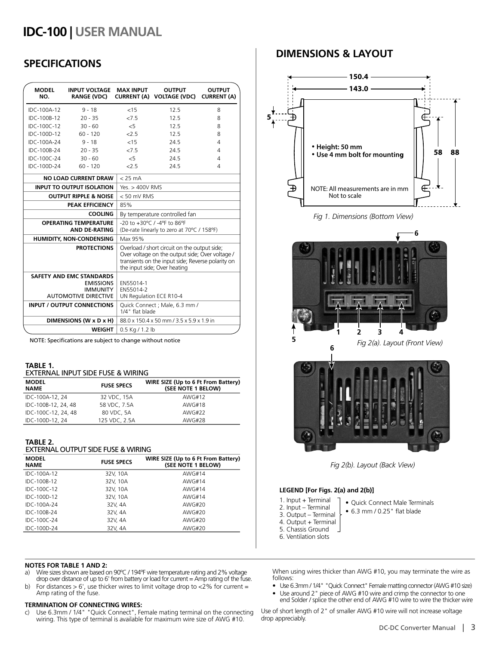# **IDC-100 | USER Manual**

# **SPECIFICATIONS**

| <b>MODEL</b><br>NO.                                                                                                                                                                                        | <b>INPUT VOLTAGE</b><br>RANGE (VDC)                                                                   | <b>MAX INPUT</b>                                 | <b>OUTPUT</b><br>CURRENT (A) VOLTAGE (VDC)                                                      | <b>OUTPUT</b><br><b>CURRENT (A)</b> |  |  |
|------------------------------------------------------------------------------------------------------------------------------------------------------------------------------------------------------------|-------------------------------------------------------------------------------------------------------|--------------------------------------------------|-------------------------------------------------------------------------------------------------|-------------------------------------|--|--|
| IDC-100A-12                                                                                                                                                                                                | $9 - 18$                                                                                              | < 15                                             | 12.5                                                                                            | 8                                   |  |  |
| IDC-100B-12                                                                                                                                                                                                | $20 - 35$                                                                                             | 275                                              | 12.5                                                                                            | 8                                   |  |  |
| IDC-100C-12                                                                                                                                                                                                | $30 - 60$                                                                                             | $\leq$                                           | 12.5                                                                                            | 8                                   |  |  |
| IDC-100D-12                                                                                                                                                                                                | $60 - 120$                                                                                            | 25                                               | 12.5                                                                                            | 8                                   |  |  |
| IDC-100A-24                                                                                                                                                                                                | $9 - 18$                                                                                              | < 15                                             | 24.5                                                                                            | 4                                   |  |  |
| IDC-100B-24                                                                                                                                                                                                | $20 - 35$                                                                                             | 27.5                                             | 24.5                                                                                            | 4                                   |  |  |
| IDC-100C-24                                                                                                                                                                                                | $30 - 60$                                                                                             | &5                                               | 24.5                                                                                            | 4                                   |  |  |
| IDC-100D-24                                                                                                                                                                                                | $60 - 120$                                                                                            | 2.5                                              | 24.5                                                                                            | 4                                   |  |  |
| <b>NO LOAD CURRENT DRAW</b>                                                                                                                                                                                |                                                                                                       | $< 25 \text{ mA}$                                |                                                                                                 |                                     |  |  |
| <b>INPUT TO OUTPUT ISOLATION</b>                                                                                                                                                                           |                                                                                                       |                                                  | Yes. $>$ 400V RMS                                                                               |                                     |  |  |
| <b>OUTPUT RIPPLE &amp; NOISE</b>                                                                                                                                                                           |                                                                                                       |                                                  | $< 50$ mV RMS                                                                                   |                                     |  |  |
| PEAK EFFICIENCY                                                                                                                                                                                            |                                                                                                       | 85%                                              |                                                                                                 |                                     |  |  |
| <b>COOLING</b>                                                                                                                                                                                             |                                                                                                       |                                                  | By temperature controlled fan                                                                   |                                     |  |  |
| <b>OPERATING TEMPERATURE</b><br><b>AND DE-RATING</b>                                                                                                                                                       |                                                                                                       |                                                  | $-20$ to $+30^{\circ}$ C / $-4^{\circ}$ F to 86°F<br>(De-rate linearly to zero at 70°C / 158°F) |                                     |  |  |
| HUMIDITY, NON-CONDENSING                                                                                                                                                                                   |                                                                                                       | Max 95%                                          |                                                                                                 |                                     |  |  |
| <b>PROTECTIONS</b><br>Overload / short circuit on the output side;<br>Over voltage on the output side; Over voltage /<br>transients on the input side; Reverse polarity on<br>the input side; Over heating |                                                                                                       |                                                  |                                                                                                 |                                     |  |  |
|                                                                                                                                                                                                            | <b>SAFETY AND EMC STANDARDS</b><br><b>EMISSIONS</b><br><b>IMMUNITY</b><br><b>AUTOMOTIVE DIRECTIVE</b> | EN55014-1<br>EN55014-2                           | UN Regulation ECE R10-4                                                                         |                                     |  |  |
|                                                                                                                                                                                                            | <b>INPUT / OUTPUT CONNECTIONS</b>                                                                     | Quick Connect; Male, 6.3 mm /<br>1/4" flat blade |                                                                                                 |                                     |  |  |
| DIMENSIONS (W x D x H)                                                                                                                                                                                     |                                                                                                       |                                                  | 88.0 x 150.4 x 50 mm / 3.5 x 5.9 x 1.9 in                                                       |                                     |  |  |
|                                                                                                                                                                                                            | <b>WEIGHT</b>                                                                                         | 0.5 Kg / 1.2 lb                                  |                                                                                                 |                                     |  |  |

NOTE: Specifications are subject to change without notice

#### **TABLE 1.**

| EXTERNAL INPUT SIDE FUSE & WIRING |  |  |  |
|-----------------------------------|--|--|--|
|                                   |  |  |  |

| <b>MODEL</b><br><b>NAME</b> | <b>FUSE SPECS</b> | WIRE SIZE (Up to 6 Ft From Battery)<br>(SEE NOTE 1 BELOW) |
|-----------------------------|-------------------|-----------------------------------------------------------|
| IDC-100A-12, 24             | 32 VDC, 15A       | AWG#12                                                    |
| IDC-100B-12, 24, 48         | 58 VDC, 7.5A      | AWG#18                                                    |
| IDC-100C-12, 24, 48         | 80 VDC, 5A        | AWG#22                                                    |
| IDC-100D-12, 24             | 125 VDC, 2.5A     | <b>AWG#28</b>                                             |

#### **TABLE 2.**  External Output Side Fuse & Wiring

| <b>MODEL</b><br><b>NAME</b> | <b>FUSE SPECS</b> | WIRE SIZE (Up to 6 Ft From Battery)<br>(SEE NOTE 1 BELOW) |
|-----------------------------|-------------------|-----------------------------------------------------------|
| IDC-100A-12                 | 32V, 10A          | AWG#14                                                    |
| IDC-100B-12                 | 32V, 10A          | AWG#14                                                    |
| IDC-100C-12                 | 32V, 10A          | AWG#14                                                    |
| IDC-100D-12                 | 32V, 10A          | AWG#14                                                    |
| IDC-100A-24                 | 32V, 4A           | AWG#20                                                    |
| IDC-100B-24                 | 32V, 4A           | AWG#20                                                    |
| IDC-100C-24                 | 32V, 4A           | AWG#20                                                    |
| IDC-100D-24                 | 32V, 4A           | AWG#20                                                    |
|                             |                   |                                                           |

#### **NOTES FOR TABLE 1 and 2:**

- a) Wire sizes shown are based on 90°C / 194°F wire temperature rating and 2% voltage drop over distance of up to 6' from battery or load for current = Amp rating of the fuse.
- b) For distances  $> 6'$ , use thicker wires to limit voltage drop to <2% for current = Amp rating of the fuse.

#### **TERMINATION OF CONNECTING WIRES:**

c) Use 6.3mm / 1/4" "Quick Connect", Female mating terminal on the connecting wiring. This type of terminal is available for maximum wire size of AWG #10.

## **DIMENSIONS & LAYOUT**



*Fig 1. Dimensions (Bottom View)*





*Fig 2(b). Layout (Back View)*

#### **LEGEND [For Figs. 2(a) and 2(b)]**

- 1. Input + Terminal
- 2. Input Terminal
- 3. Output Terminal
- 4. Output + Terminal
- 5. Chassis Ground
- 
- Quick Connect Male Terminals
- • 6.3 mm / 0.25" flat blade
- 
- 
- 
- 
- 
- 
- 6. Ventilation slots

When using wires thicker than AWG #10, you may terminate the wire as follows:

- Use 6.3mm / 1/4" "Quick Connect" Female matting connector (AWG #10 size)<br>• Use around 2" piece of AWG #10 wire and crimp the connector to one
- end Solder / splice the other end of AWG #10 wire to wire the thicker wire

Use of short length of 2" of smaller AWG #10 wire will not increase voltage drop appreciably.